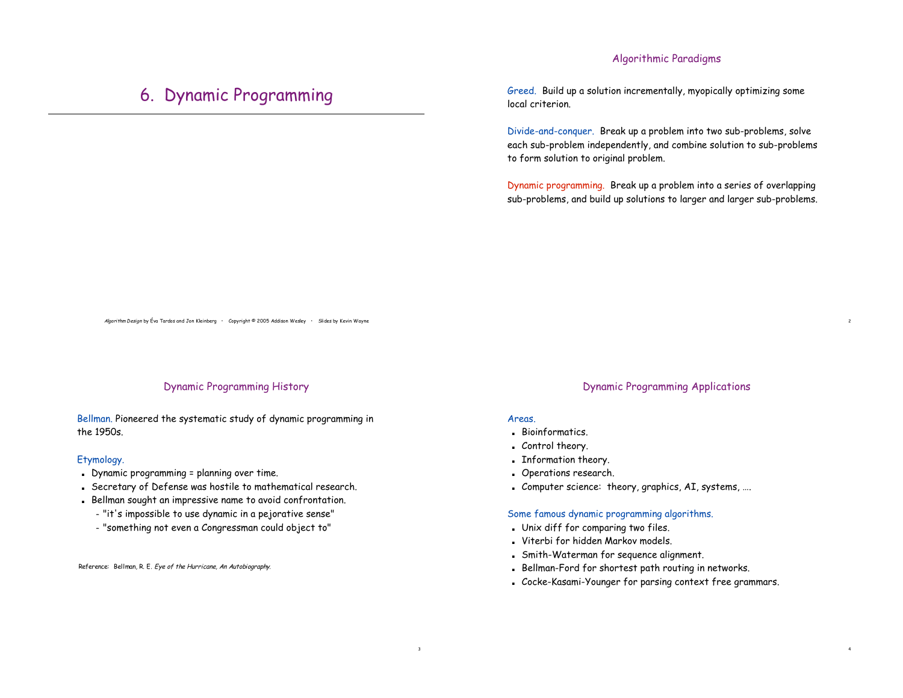## Algorithmic Paradigms

## 6. Dynamic Programming

Greed. Build up a solution incrementally, myopically optimizing some local criterion.

Divide-and-conquer. Break up a problem into two sub-problems, solve each sub-problem independently, and combine solution to sub-problems to form solution to original problem.

Dynamic programming. Break up a problem into a series of overlapping sub-problems, and build up solutions to larger and larger sub-problems.

Algorithm Design by Éva Tardos and Jon Kleinberg • Copyright © 2005 Addison Wesley • Slides by Kevin Wayne

## Dynamic Programming History

Bellman. Pioneered the systematic study of dynamic programming in the 1950s.

#### Etymology.

- . Dynamic programming = planning over time.
- ! Secretary of Defense was hostile to mathematical research.
- ! Bellman sought an impressive name to avoid confrontation.
	- "it's impossible to use dynamic in a pejorative sense"
	- "something not even a Congressman could object to"

Reference: Bellman, R. E. Eye of the Hurricane, An Autobiography.

## Dynamic Programming Applications

2

4

#### **Areas**

3

- ! Bioinformatics.
- . Control theory.
- ! Information theory.
- ! Operations research.
- ! Computer science: theory, graphics, AI, systems, ….

#### Some famous dynamic programming algorithms.

- . Unix diff for comparing two files.
- . Viterbi for hidden Markov models.
- ! Smith-Waterman for sequence alignment.
- . Bellman-Ford for shortest path routing in networks.
- ! Cocke-Kasami-Younger for parsing context free grammars.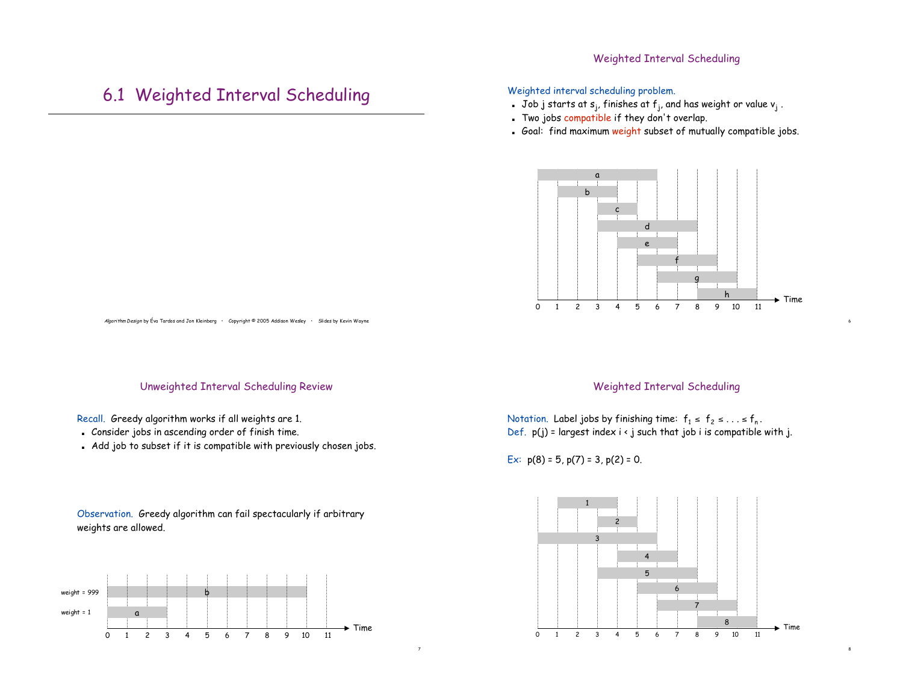## Weighted Interval Scheduling

## 6.1 Weighted Interval Scheduling

## Weighted interval scheduling problem.

- . Job j starts at  $s_i$ , finishes at  $f_i$ , and has weight or value  $v_i$ .
- . Two jobs compatible if they don't overlap.
- . Goal: find maximum weight subset of mutually compatible jobs.



Algorithm Design by Éva Tardos and Jon Kleinberg • Copyright © 2005 Addison Wesley • Slides by Kevin Wayne

## Unweighted Interval Scheduling Review

## Recall. Greedy algorithm works if all weights are 1.

- . Consider jobs in ascending order of finish time.
- . Add job to subset if it is compatible with previously chosen jobs.

## Observation. Greedy algorithm can fail spectacularly if arbitrary weights are allowed.



## Weighted Interval Scheduling

6

8

Notation. Label jobs by finishing time:  $f_1 \le f_2 \le ... \le f_n$ . Def.  $p(j)$  = largest index  $i \leftarrow j$  such that job i is compatible with j.

Ex:  $p(8) = 5$ ,  $p(7) = 3$ ,  $p(2) = 0$ .

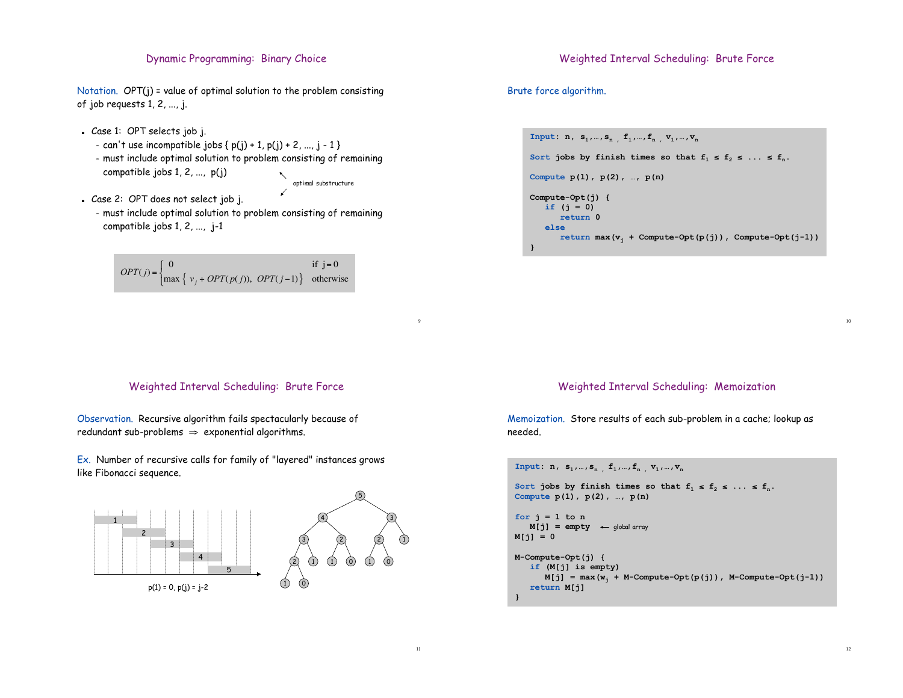## Dynamic Programming: Binary Choice

Notation. OPT(j) = value of optimal solution to the problem consisting of job requests 1, 2, ..., j.

- ! Case 1: OPT selects job j.
	- can't use incompatible jobs  $\{ p(j) + 1, p(j) + 2, ..., j 1 \}$
	- must include optimal solution to problem consisting of remaining compatible jobs 1, 2, ..., p(j) optimal substructure
- . Case 2: OPT does not select job j. – must include optimal solution to problem consisting of remaining compatible jobs 1, 2, ..., j-1

$$
OPT(j) = \begin{cases} 0 & \text{if } j = 0\\ \max \left\{ v_j + OPT(p(j)), \ OPT(j-1) \right\} & \text{otherwise} \end{cases}
$$

### Weighted Interval Scheduling: Brute Force

Brute force algorithm.

```
Input: n, s_1, ..., s_n, f_1, ..., f_n, v_1, ..., v_nSort jobs by finish times so that f_1 \le f_2 \le \ldots \le f_n.
Compute p(1), p(2), …, p(n)
Compute-Opt(j) {
   if (j = 0)
       return 0
   else
       return \max(v_i + Compute-Opt(p(j)), Compute-Opt(j-1)}
```
### Weighted Interval Scheduling: Brute Force

Observation. Recursive algorithm fails spectacularly because of redundant sub-problems  $\Rightarrow$  exponential algorithms.

Ex. Number of recursive calls for family of "layered" instances grows like Fibonacci sequence.





9

11

## Weighted Interval Scheduling: Memoization

Memoization. Store results of each sub-problem in a cache; lookup as needed.

```
Input: n, s_1, ..., s_n, f_1, ..., f_n, v_1, ..., v_nSort jobs by finish times so that f_1 \leq f_2 \leq ... \leq f_n.
Compute p(1), p(2), …, p(n)
for j = 1 to nM[j] = \text{empty} \leftarrow \text{global array}M[j] = 0
M-Compute-Opt(j) {
   if (M[j] is empty)
       M[j] = \max(w_j + M-Compute-Opt(p(j)), M-Compute-Opt(j-1)return M[j]
}
```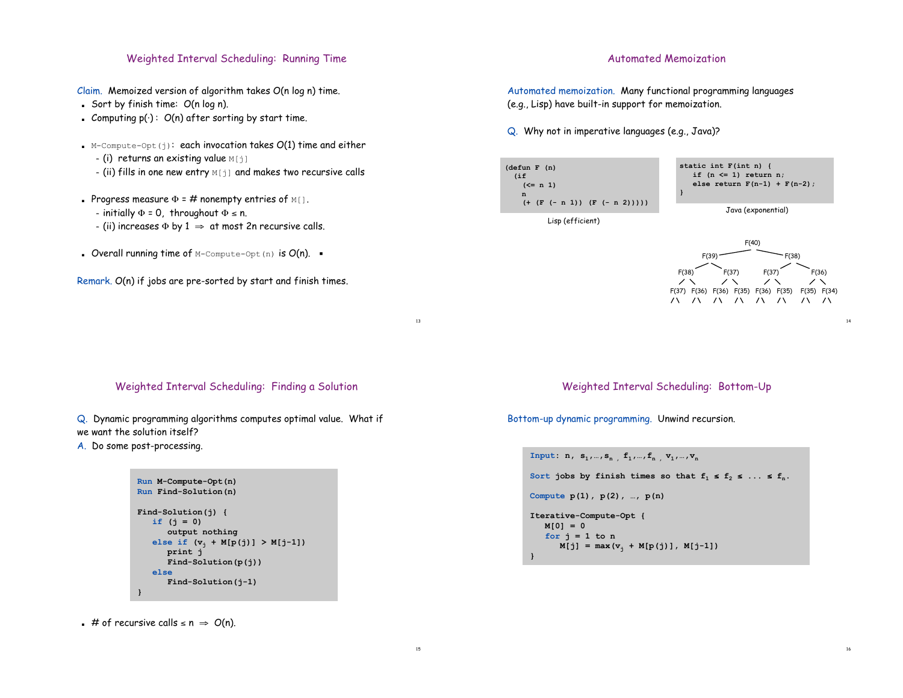## Weighted Interval Scheduling: Running Time

Claim. Memoized version of algorithm takes O(n log n) time.

- Sort by finish time:  $O(n \log n)$ .
- . Computing  $p(\cdot): O(n)$  after sorting by start time.
- $\blacksquare$  M-Compute-Opt(j): each invocation takes  $O(1)$  time and either
	- $-$  (i) returns an existing value  $M[j]$
	- $-$  (ii) fills in one new entry  $M[i]$  and makes two recursive calls
- Progress measure  $\Phi = \#$  nonempty entries of  $M[$ ].
	- initially  $\Phi = 0$ , throughout  $\Phi \le n$ .
	- (ii) increases  $\Phi$  by  $1 \Rightarrow$  at most 2n recursive calls.
- **.** Overall running time of M-Compute-Opt (n) is  $O(n)$ .  $\blacksquare$

Remark. O(n) if jobs are pre-sorted by start and finish times.

### Automated Memoization

Automated memoization. Many functional programming languages (e.g., Lisp) have built-in support for memoization.

Q. Why not in imperative languages (e.g., Java)?





14

16

Weighted Interval Scheduling: Finding a Solution

13

15

Q. Dynamic programming algorithms computes optimal value. What if we want the solution itself?

A. Do some post-processing.

```
Run M-Compute-Opt(n)
Run Find-Solution(n)
Find-Solution(j) {
   if (j = 0)
      output nothing
   else if (v_i + M[p(j)]) > M[j-1])print j
      Find-Solution(p(j))
   else
      Find-Solution(j-1)
}
```
**#** of recursive calls  $\le n \Rightarrow O(n)$ .

Weighted Interval Scheduling: Bottom-Up

Bottom-up dynamic programming. Unwind recursion.

```
Input: n, s_1, ..., s_n, f_1, ..., f_n, v_1, ..., v_nSort jobs by finish times so that f_1 \leq f_2 \leq \ldots \leq f_n.
Compute p(1), p(2), …, p(n)
Iterative-Compute-Opt {
   M[0] = 0
   for j = 1 to nM[j] = max(v_j + M[p(j)], M[j-1])}
```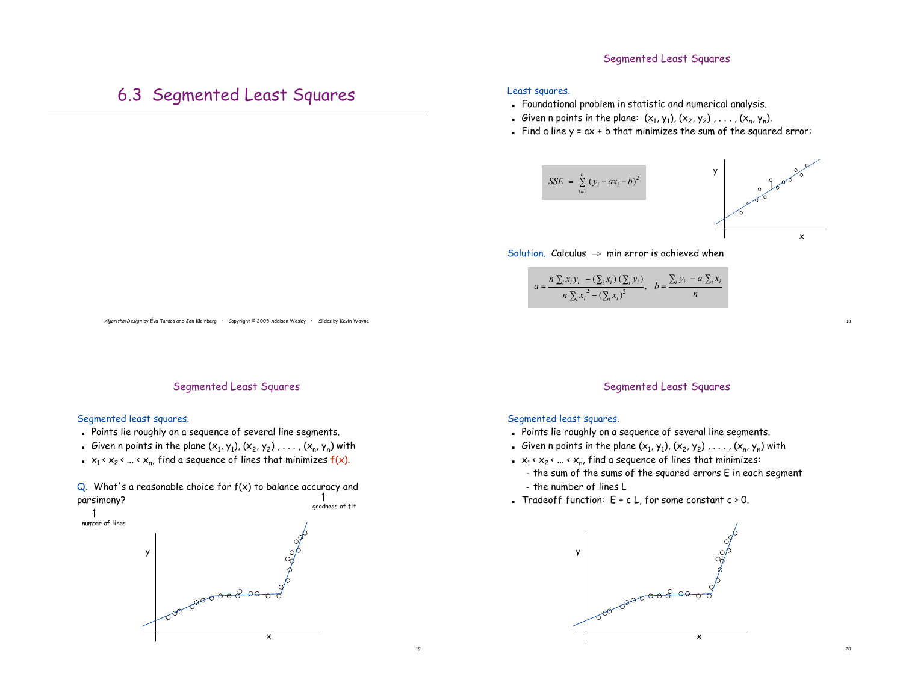## Segmented Least Squares

# 6.3 Segmented Least Squares

#### Least squares.

- ! Foundational problem in statistic and numerical analysis.
- Given n points in the plane:  $(x_1, y_1)$ ,  $(x_2, y_2)$  , ...,  $(x_n, y_n)$ .
- . Find a line  $y = ax + b$  that minimizes the sum of the squared error:



Solution. Calculus  $\Rightarrow$  min error is achieved when

$$
a = \frac{n \sum_i x_i y_i - (\sum_i x_i) (\sum_i y_i)}{n \sum_i x_i^2 - (\sum_i x_i)^2}, \quad b = \frac{\sum_i y_i - a \sum_i x_i}{n}
$$

Algorithm Design by Éva Tardos and Jon Kleinberg • Copyright © 2005 Addison Wesley • Slides by Kevin Wayne

#### Segmented Least Squares

#### Segmented least squares.

- . Points lie roughly on a sequence of several line segments.
- Given n points in the plane  $(x_1, y_1)$ ,  $(x_2, y_2)$  , ...,  $(x_n, y_n)$  with
- $\bullet$   $x_1 \cdot x_2 \cdot ... \cdot x_n$ , find a sequence of lines that minimizes  $f(x)$ .







#### Segmented Least Squares

#### Segmented least squares.

19

- . Points lie roughly on a sequence of several line segments.
- Given n points in the plane  $(x_1, y_1)$ ,  $(x_2, y_2)$  , . . . ,  $(x_n, y_n)$  with
- x<sub>1</sub> <  $x_2$  < ... <  $x_n$ , find a sequence of lines that minimizes:
	- the sum of the sums of the squared errors E in each segment – the number of lines L
- **Tradeoff function:**  $E + c L$ , for some constant  $c > 0$ .

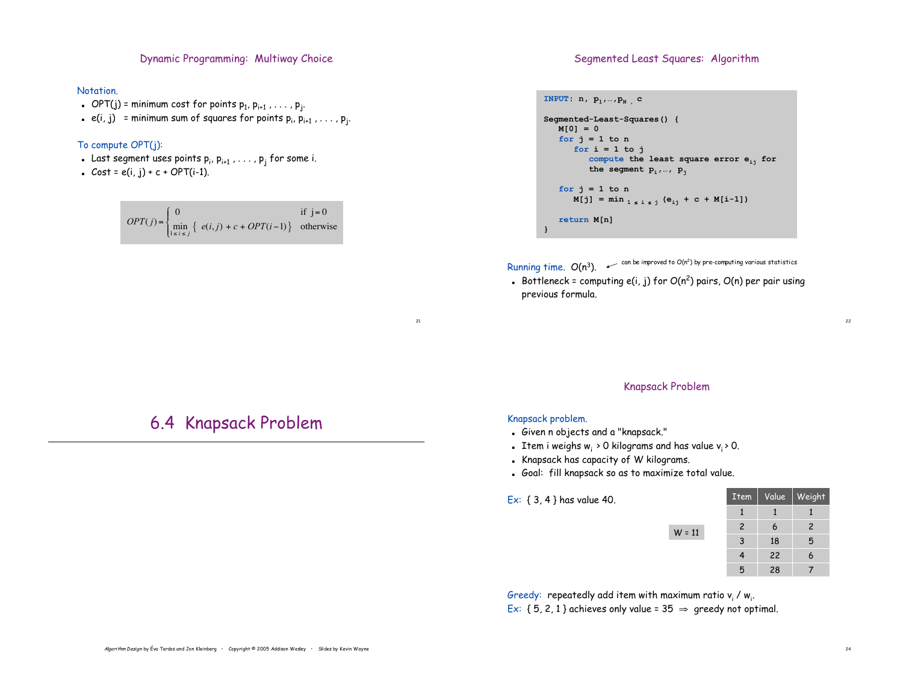Dynamic Programming: Multiway Choice

#### Notation.

- **.** OPT(j) = minimum cost for points  $p_1, p_{i+1}, \ldots, p_j$ .
- $\bullet\;$  e(i, j)  $\;$  = minimum sum of squares for points  $\mathsf{p}_{\mathsf{i}},\mathsf{p}_{\mathsf{i+1}}$  ,  $\dots$  ,  $\mathsf{p}_{\mathsf{j}}.$

### To compute OPT(j):

- $\blacksquare$  Last segment uses points  $\mathsf{p}_\mathsf{i}, \mathsf{p}_{\mathsf{i+1}}$  ,  $\ldots$  ,  $\mathsf{p}_\mathsf{j}$  for some i.
- $\text{Cost} = e(i, j) + c + \text{OPT}(i-1).$

|  | $OPT(j) = \begin{cases} 0 & \text{if } j = 0 \\ \min_{1 \le i \le j} \{ e(i, j) + c + OPT(i - 1) \} & \text{otherwise} \end{cases}$ |  |  |  |  |  |
|--|-------------------------------------------------------------------------------------------------------------------------------------|--|--|--|--|--|

#### Segmented Least Squares: Algorithm

```
INPUT: n, p_1, ..., p_N , c
Segmented-Least-Squares() {
  M[0] = 0
   for j = 1 to nfor i = 1 to j
         compute the least square error eij for
         the segment pi,…, pj
   for j = 1 to n
      M[j] = min_{1 \le i \le j} (e_{ij} + c + M[i-1])return M[n]
}
```
Running time.  $O(n^3)$ .  $\sim$  can be improved to  $O(n^2)$  by pre-computing various statistics

**.** Bottleneck = computing e(i, j) for  $O(n^2)$  pairs,  $O(n)$  per pair using previous formula.

#### Knapsack Problem

 $W = 11$ 

#### Knapsack problem.

21

- ! Given n objects and a "knapsack."
- **Item i weighs w**<sub>i</sub> > 0 kilograms and has value v<sub>i</sub> > 0.
- ! Knapsack has capacity of W kilograms.
- ! Goal: fill knapsack so as to maximize total value.

Ex: { 3, 4 } has value 40.

| <b>Item</b>    | Value | Weight         |
|----------------|-------|----------------|
| 1              | 1     |                |
| $\overline{c}$ | 6     | $\overline{c}$ |
| 3              | 18    | 5              |
| 4              | 22    | 6              |
| 5              | 28    |                |

Greedy: repeatedly add item with maximum ratio  $\mathsf{v}_\mathsf{i}$  /  $\mathsf{w}_\mathsf{i}.$ Ex: {  $5, 2, 1$ } achieves only value =  $35 \Rightarrow$  greedy not optimal.

## 6.4 Knapsack Problem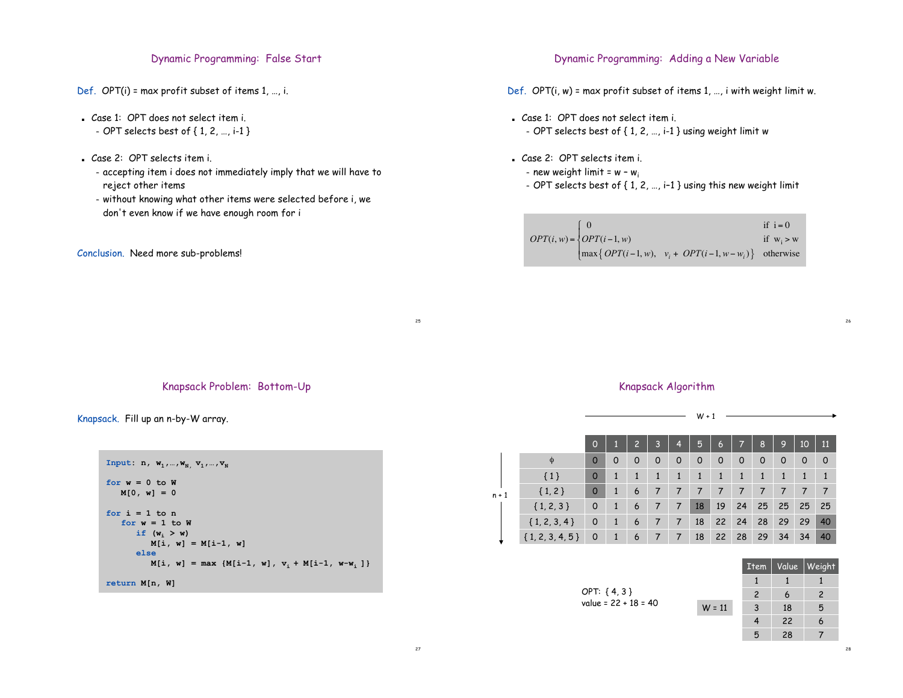## Dynamic Programming: False Start

- Def. OPT(i) = max profit subset of items 1, …, i.
- . Case 1: OPT does not select item i. – OPT selects best of { 1, 2, …, i-1 }
- . Case 2: OPT selects item i.
	- accepting item i does not immediately imply that we will have to reject other items
	- without knowing what other items were selected before i, we don't even know if we have enough room for i

#### Conclusion. Need more sub-problems!

## Dynamic Programming: Adding a New Variable

- Def. OPT(i, w) = max profit subset of items 1, …, i with weight limit w.
- ! Case 1: OPT does not select item i. – OPT selects best of { 1, 2, …, i-1 } using weight limit w
- ! Case 2: OPT selects item i.
	- new weight limit =  $w w_i$
	- OPT selects best of { 1, 2, …, i–1 } using this new weight limit

|                                            |                                                                                   | if $i = 0$   |
|--------------------------------------------|-----------------------------------------------------------------------------------|--------------|
| $OPT(i, w) = \left\{ OPT(i-1, w) \right\}$ |                                                                                   | if $w_i > w$ |
|                                            | $\left[\max\left\{ OPT(i-1, w), v_i + OPT(i-1, w-w_i) \right\} \right]$ otherwise |              |

## Knapsack Problem: Bottom-Up

Knapsack. Fill up an n-by-W array.

```
\texttt{Input:} \;\; \textbf{n}, \;\; \textbf{w}_1, \ldots, \textbf{w}_N, \;\; \textbf{v}_1, \ldots, \textbf{v}_Nfor w = 0 to W
    M[0, w] = 0
for i = 1 to n
    for w = 1 to W
         if (w_i > w)M[i, w] = M[i-1, w]
         else
             M[i, w] = max \{M[i-1, w], v_i + M[i-1, w-w_i]\}return M[n, W]
```
### Knapsack Algorithm

W + 1

|         |                     | $\Omega$ |   | 2 | 3 | 4       | 5  | $\ddot{\mathbf{6}}$ | 7           | 8  | 9  | 10 | 11 |
|---------|---------------------|----------|---|---|---|---------|----|---------------------|-------------|----|----|----|----|
| $n + 1$ | Φ                   | $\Omega$ | 0 | 0 | 0 | $\circ$ | 0  | 0                   | $\mathbf 0$ | 0  | 0  | 0  | O  |
|         | ${1}$               | $\circ$  | 1 | 1 | 1 | 1       | 1  | 1                   | 1           | 1  | 1  | 1  | 1  |
|         | ${1, 2}$            | $\circ$  | 1 | 6 | 7 | 7       | 7  | 7                   | 7           | 7  | 7  | 7  | 7  |
|         | ${1, 2, 3}$         | 0        | 1 | 6 | 7 | 7       | 18 | 19                  | 24          | 25 | 25 | 25 | 25 |
|         | $\{1, 2, 3, 4\}$    | 0        | 1 | 6 | 7 | 7       | 18 | 22                  | 24          | 28 | 29 | 29 | 40 |
|         | $\{1, 2, 3, 4, 5\}$ | 0        | 1 | 6 | 7 | 7       | 18 | 22                  | 28          | 29 | 34 | 34 | 40 |

|                        |          |    | $Item \mid Value \mid Weight$ |
|------------------------|----------|----|-------------------------------|
|                        |          |    |                               |
| OPT: ${4, 3}$          |          | 6  | 2                             |
| value = $22 + 18 = 40$ | $W = 11$ | 18 | 5                             |
|                        |          | 22 |                               |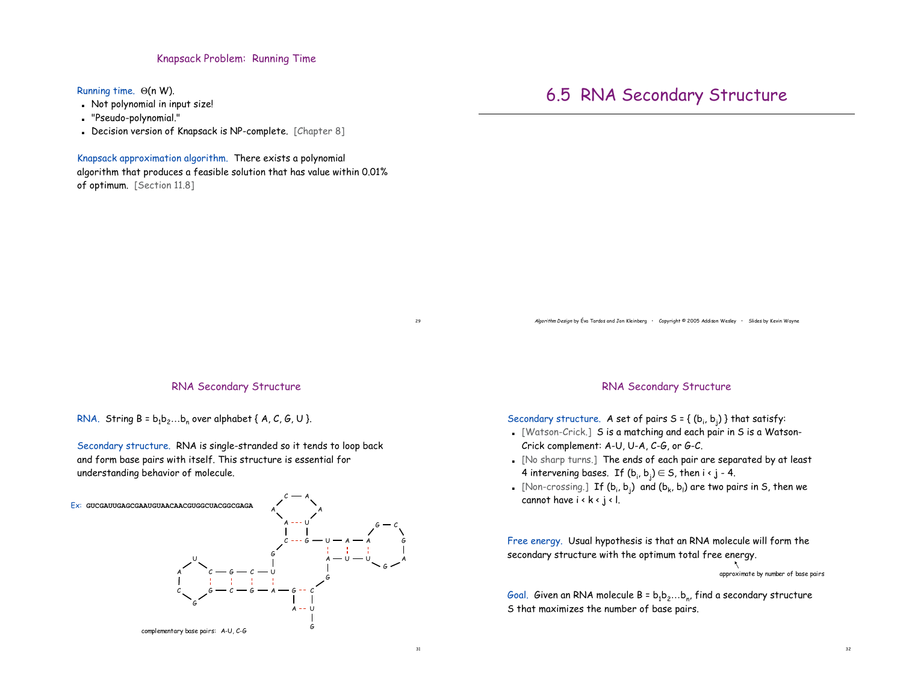### Knapsack Problem: Running Time

Running time.  $\Theta(n W)$ .

- ! Not polynomial in input size!
- ! "Pseudo-polynomial."
- . Decision version of Knapsack is NP-complete. [Chapter 8]

Knapsack approximation algorithm. There exists a polynomial

algorithm that produces a feasible solution that has value within 0.01% of optimum. [Section 11.8]

## 6.5 RNA Secondary Structure

Algorithm Design by Éva Tardos and Jon Kleinberg • Copyright © 2005 Addison Wesley • Slides by Kevin Wayne

#### RNA Secondary Structure

RNA. String  $B = b_1b_2...b_n$  over alphabet { A, C, G, U }.

Secondary structure. RNA is single-stranded so it tends to loop back and form base pairs with itself. This structure is essential for understanding behavior of molecule.



#### RNA Secondary Structure

Secondary structure. A set of pairs  $S = \{ (b_i, b_j) \}$  that satisfy:

- ! [Watson-Crick.] S is a matching and each pair in S is a Watson-Crick complement: A-U, U-A, C-G, or G-C.
- ! [No sharp turns.] The ends of each pair are separated by at least 4 intervening bases. If  $(\mathsf{b}_\mathsf{i},\mathsf{b}_\mathsf{j})\!\in\!\mathsf{S}$ , then i <  $\mathsf{j}$  - 4.
- . [Non-crossing.] If (b<sub>i</sub>, b<sub>i</sub>) and (b<sub>k</sub>, b<sub>i</sub>) are two pairs in S, then we cannot have  $i \cdot k \cdot j \cdot l$ .

Free energy. Usual hypothesis is that an RNA molecule will form the secondary structure with the optimum total free energy.

approximate by number of base pairs

Goal. Given an RNA molecule  $B = b_1b_2...b_n$ , find a secondary structure S that maximizes the number of base pairs.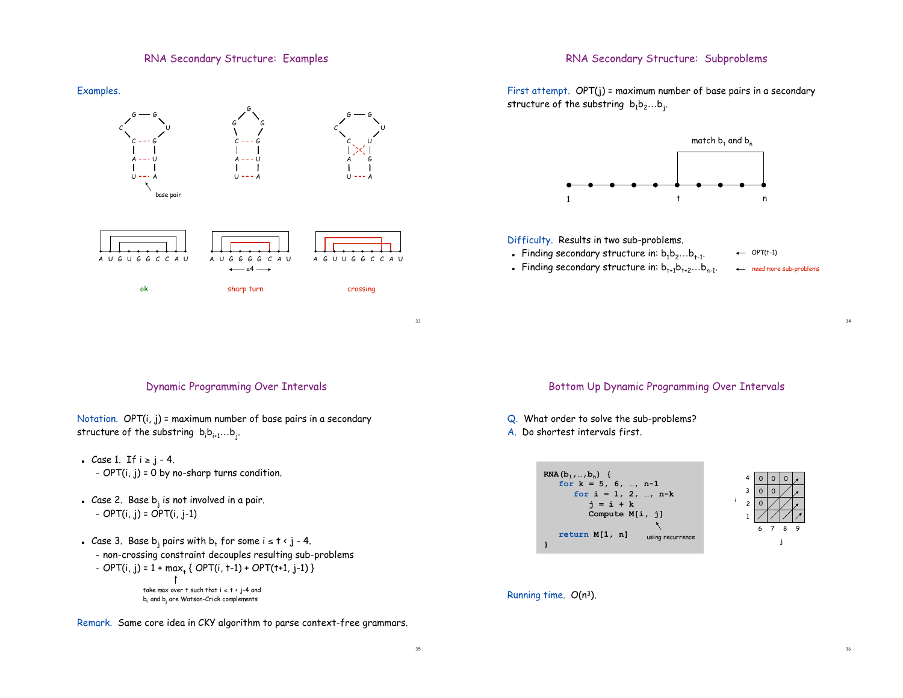## RNA Secondary Structure: Examples

## RNA Secondary Structure: Subproblems



First attempt. OPT(j) = maximum number of base pairs in a secondary structure of the substring  $b_1b_2...b_j$ .



#### Difficulty. Results in two sub-problems.

- **Finding secondary structure in:**  $b_1b_2...b_{t-1}$ .
- . Finding secondary structure in:  $b_{t+1}b_{t+2}...b_{n-1}$ .

need more sub-problems

 $\leftarrow$  OPT(t-1)

34

36

## Dynamic Programming Over Intervals

Notation. OPT(i, j) = maximum number of base pairs in a secondary structure of the substring  $\mathsf{b}_{\mathsf{i}}\mathsf{b}_{\mathsf{i+1}}...\mathsf{b}_{\mathsf{j}}.$ 

- . Case 1. If  $i \ge j 4$ . -  $OPT(i, j) = 0$  by no-sharp turns condition.
- **Case 2.** Base  $b_i$  is not involved in a pair. – OPT(i, j) = OPT(i, j-1)
- . Case 3. Base b<sub>i</sub> pairs with  $b_t$  for some  $i \le t \le j 4$ .
	- non-crossing constraint decouples resulting sub-problems

- OPT(i, j) = 
$$
1 + max_t \{ OPT(i, t-1) + OPT(t+1, j-1) \}
$$
  
\n
$$
\uparrow
$$
  
\ntake max over t such that  $i \le t < j-4$  and  
\nb, and b, are Watson-Crick complements

Remark. Same core idea in CKY algorithm to parse context-free grammars.

## Bottom Up Dynamic Programming Over Intervals

Q. What order to solve the sub-problems?

A. Do shortest intervals first.



#### Running time. O(n3).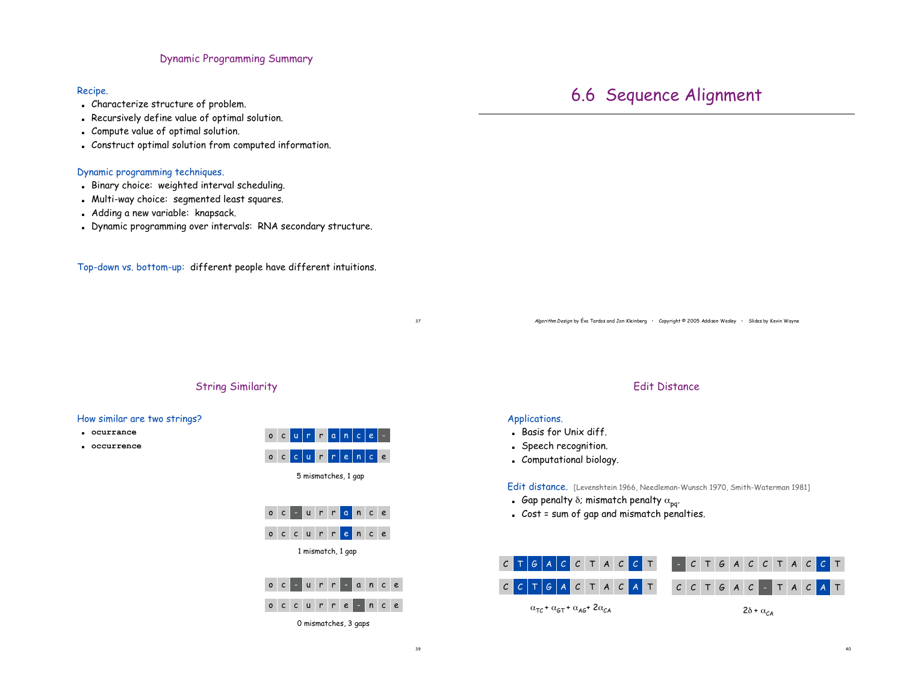#### Dynamic Programming Summary

#### Recipe.

- . Characterize structure of problem.
- . Recursively define value of optimal solution.
- . Compute value of optimal solution.
- . Construct optimal solution from computed information.

#### Dynamic programming techniques.

- ! Binary choice: weighted interval scheduling.
- . Multi-way choice: segmented least squares.
- . Adding a new variable: knapsack.
- . Dynamic programming over intervals: RNA secondary structure.

Top-down vs. bottom-up: different people have different intuitions.

Algorithm Design by Éva Tardos and Jon Kleinberg • Copyright © 2005 Addison Wesley • Slides by Kevin Wayne

### String Similarity

#### How similar are two strings?

- ! **ocurrance**
- ! **occurrence**



#### Edit Distance

#### Applications.

- ! Basis for Unix diff.
- ! Speech recognition.
- . Computational biology.

Edit distance. [Levenshtein 1966, Needleman-Wunsch 1970, Smith-Waterman 1981]

- Gap penalty  $\delta$ ; mismatch penalty  $\alpha_{\text{p}q}$ .
- ! Cost = sum of gap and mismatch penalties.



## 6.6 Sequence Alignment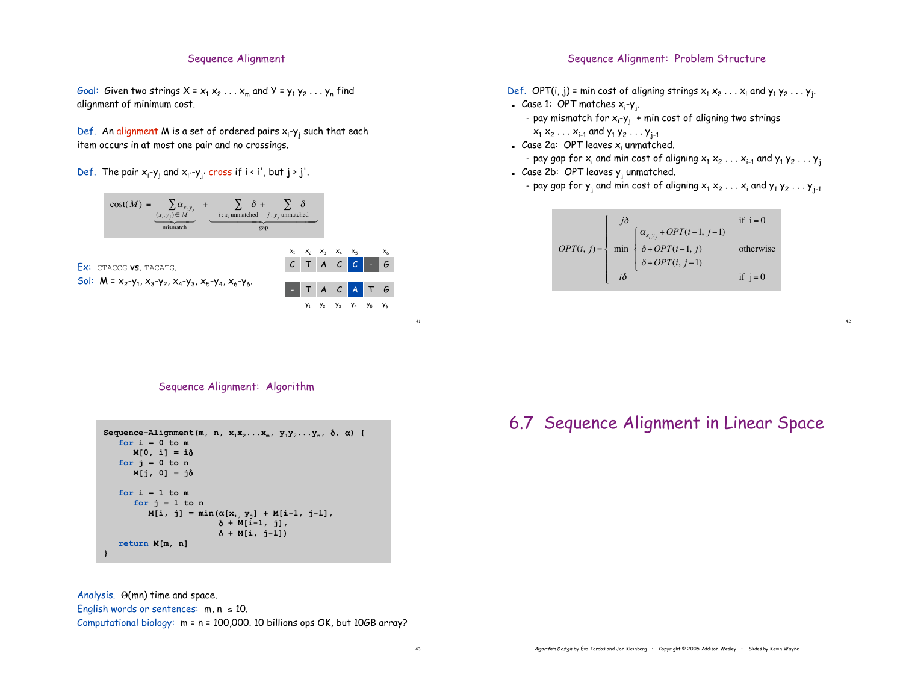#### Sequence Alignment

Goal: Given two strings  $X = x_1 x_2 ... x_m$  and  $Y = y_1 y_2 ... y_n$  find alignment of minimum cost.

Def. An alignment M is a set of ordered pairs  $\mathsf{x}_{\mathsf{i}}\text{-}\mathsf{y}_{\mathsf{j}}$  such that each item occurs in at most one pair and no crossings.

Def. The pair  $x_i$ - $y_j$  and  $x_{i'}$ - $y_j$ ' cross if i < i', but  $j$  >  $j'$ .



#### Sequence Alignment: Problem Structure

- Def. OPT(i, j) = min cost of aligning strings  $x_1 x_2 \ldots x_i$  and  $y_1 y_2 \ldots y_j$ .
- Case 1: OPT matches x<sub>i</sub>-y<sub>j</sub>.
	- pay mismatch for x<sub>i</sub>-y<sub>j</sub> + min cost of aligning two strings

 $x_1 x_2 \ldots x_{i-1}$  and  $y_1 y_2 \ldots y_{j-1}$ 

 $\blacksquare$  Case 2a: OPT leaves x<sub>i</sub> unmatched.

- pay gap for  $x_i$  and min cost of aligning  $x_1 x_2 \ldots x_{i-1}$  and  $y_1 y_2 \ldots y_i$ Case 2b: OPT leaves  $y_i$  unmatched.

- pay gap for  $y_i$  and min cost of aligning  $x_1 x_2 \ldots x_i$  and  $y_1 y_2 \ldots y_{i-1}$ 



42

### Sequence Alignment: Algorithm

```
Sequence-Alignment(m, n, x_1x_2...x_m, y_1y_2...y_n, \delta, \alpha) {
   for i = 0 to m
      M[0, i] = i)
   for j = 0 to nM[j, 0] = j)
   for i = 1 to mfor j = 1 to nM[i, j] = min(\alpha[x_i, y_j] + M[i-1, j-1],\delta + M[i-1, j],
                          ) + M[i, j-1])
   return M[m, n]
}
```
Analysis.  $\Theta$ (mn) time and space.

English words or sentences:  $m, n \le 10$ .

Computational biology: m = n = 100,000. 10 billions ops OK, but 10GB array?

## 6.7 Sequence Alignment in Linear Space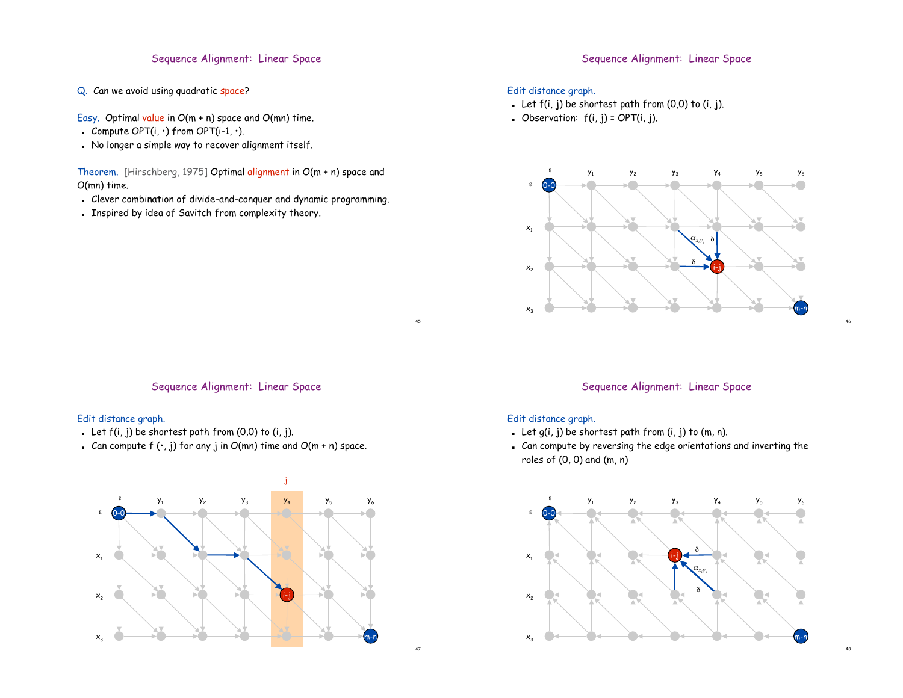## Sequence Alignment: Linear Space

- Q. Can we avoid using quadratic space?
- Easy. Optimal value in O(m + n) space and O(mn) time.
- **Compute OPT(i, ·) from OPT(i-1, ·).**
- ! No longer a simple way to recover alignment itself.

Theorem. [Hirschberg, 1975] Optimal alignment in O(m + n) space and O(mn) time.

- ! Clever combination of divide-and-conquer and dynamic programming.
- ! Inspired by idea of Savitch from complexity theory.

## Sequence Alignment: Linear Space

## Edit distance graph.

- . Let  $f(i, j)$  be shortest path from  $(0, 0)$  to  $(i, j)$ .
- **.** Observation:  $f(i, j) = OPT(i, j)$ .



#### Sequence Alignment: Linear Space

### Edit distance graph.

- . Let  $f(i, j)$  be shortest path from  $(0, 0)$  to  $(i, j)$ .
- . Can compute  $f(\cdot, j)$  for any j in  $O(mn)$  time and  $O(m + n)$  space.



## Sequence Alignment: Linear Space

46

48

#### Edit distance graph.

45

- . Let  $g(i, j)$  be shortest path from  $(i, j)$  to  $(m, n)$ .
- ! Can compute by reversing the edge orientations and inverting the roles of (0, 0) and (m, n)

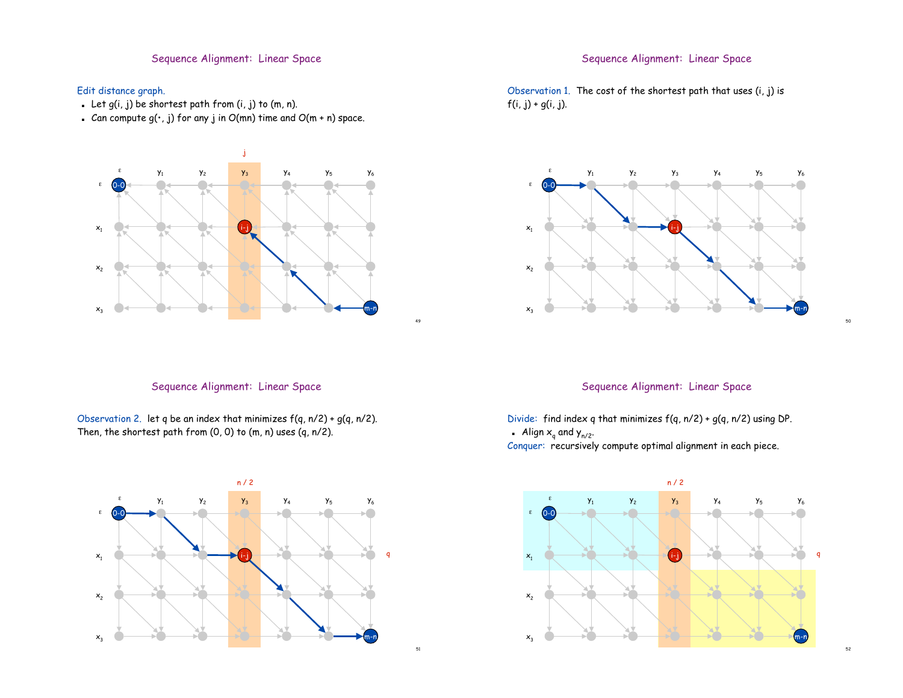## Sequence Alignment: Linear Space

## Edit distance graph.

- . Let  $g(i, j)$  be shortest path from  $(i, j)$  to  $(m, n)$ .
- . Can compute  $g(\cdot, j)$  for any j in  $O(mn)$  time and  $O(m + n)$  space.



## Sequence Alignment: Linear Space

Observation 2. let q be an index that minimizes  $f(q, n/2) + g(q, n/2)$ . Then, the shortest path from (0, 0) to (m, n) uses (q, n/2).



## Sequence Alignment: Linear Space

Observation 1. The cost of the shortest path that uses  $(i, j)$  is  $f(i, j) + g(i, j)$ .



## Sequence Alignment: Linear Space

50

52

Divide: find index q that minimizes  $f(q, n/2) + g(q, n/2)$  using DP.

**Align**  $x_q$  **and**  $y_{n/2}$ **.** 

Conquer: recursively compute optimal alignment in each piece.



51